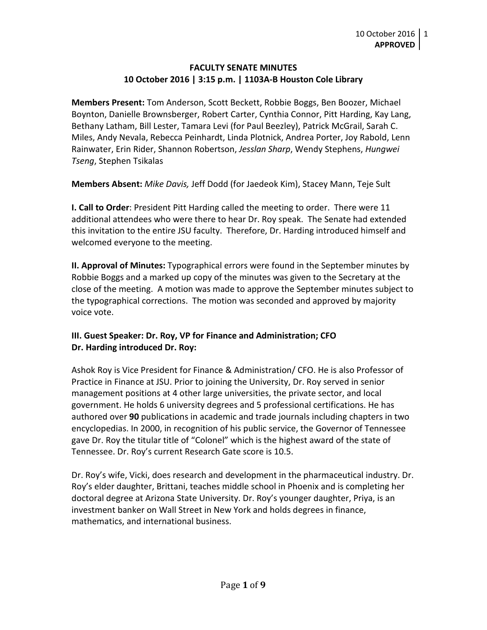# **FACULTY SENATE MINUTES 10 October 2016 | 3:15 p.m. | 1103A-B Houston Cole Library**

**Members Present:** Tom Anderson, Scott Beckett, Robbie Boggs, Ben Boozer, Michael Boynton, Danielle Brownsberger, Robert Carter, Cynthia Connor, Pitt Harding, Kay Lang, Bethany Latham, Bill Lester, Tamara Levi (for Paul Beezley), Patrick McGrail, Sarah C. Miles, Andy Nevala, Rebecca Peinhardt, Linda Plotnick, Andrea Porter, Joy Rabold, Lenn Rainwater, Erin Rider, Shannon Robertson, *Jesslan Sharp*, Wendy Stephens, *Hungwei Tseng*, Stephen Tsikalas

**Members Absent:** *Mike Davis,* Jeff Dodd (for Jaedeok Kim), Stacey Mann, Teje Sult

**I. Call to Order**: President Pitt Harding called the meeting to order. There were 11 additional attendees who were there to hear Dr. Roy speak. The Senate had extended this invitation to the entire JSU faculty. Therefore, Dr. Harding introduced himself and welcomed everyone to the meeting.

**II. Approval of Minutes:** Typographical errors were found in the September minutes by Robbie Boggs and a marked up copy of the minutes was given to the Secretary at the close of the meeting. A motion was made to approve the September minutes subject to the typographical corrections. The motion was seconded and approved by majority voice vote.

# **III. Guest Speaker: Dr. Roy, VP for Finance and Administration; CFO Dr. Harding introduced Dr. Roy:**

Ashok Roy is Vice President for Finance & Administration/ CFO. He is also Professor of Practice in Finance at JSU. Prior to joining the University, Dr. Roy served in senior management positions at 4 other large universities, the private sector, and local government. He holds 6 university degrees and 5 professional certifications. He has authored over **90** publications in academic and trade journals including chapters in two encyclopedias. In 2000, in recognition of his public service, the Governor of Tennessee gave Dr. Roy the titular title of "Colonel" which is the highest award of the state of Tennessee. Dr. Roy's current Research Gate score is 10.5.

Dr. Roy's wife, Vicki, does research and development in the pharmaceutical industry. Dr. Roy's elder daughter, Brittani, teaches middle school in Phoenix and is completing her doctoral degree at Arizona State University. Dr. Roy's younger daughter, Priya, is an investment banker on Wall Street in New York and holds degrees in finance, mathematics, and international business.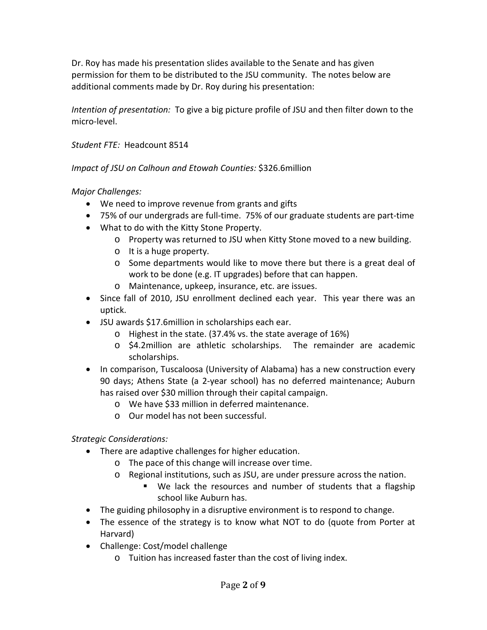Dr. Roy has made his presentation slides available to the Senate and has given permission for them to be distributed to the JSU community. The notes below are additional comments made by Dr. Roy during his presentation:

*Intention of presentation:* To give a big picture profile of JSU and then filter down to the micro-level.

*Student FTE:* Headcount 8514

*Impact of JSU on Calhoun and Etowah Counties:* \$326.6million

*Major Challenges:*

- We need to improve revenue from grants and gifts
- 75% of our undergrads are full-time. 75% of our graduate students are part-time
- What to do with the Kitty Stone Property.
	- o Property was returned to JSU when Kitty Stone moved to a new building.
	- o It is a huge property.
	- o Some departments would like to move there but there is a great deal of work to be done (e.g. IT upgrades) before that can happen.
	- o Maintenance, upkeep, insurance, etc. are issues.
- Since fall of 2010, JSU enrollment declined each year. This year there was an uptick.
- JSU awards \$17.6million in scholarships each ear.
	- o Highest in the state. (37.4% vs. the state average of 16%)
	- o \$4.2million are athletic scholarships. The remainder are academic scholarships.
- In comparison, Tuscaloosa (University of Alabama) has a new construction every 90 days; Athens State (a 2-year school) has no deferred maintenance; Auburn has raised over \$30 million through their capital campaign.
	- o We have \$33 million in deferred maintenance.
	- o Our model has not been successful.

# *Strategic Considerations:*

- There are adaptive challenges for higher education.
	- o The pace of this change will increase over time.
	- o Regional institutions, such as JSU, are under pressure across the nation.
		- We lack the resources and number of students that a flagship school like Auburn has.
- The guiding philosophy in a disruptive environment is to respond to change.
- The essence of the strategy is to know what NOT to do (quote from Porter at Harvard)
- Challenge: Cost/model challenge
	- o Tuition has increased faster than the cost of living index.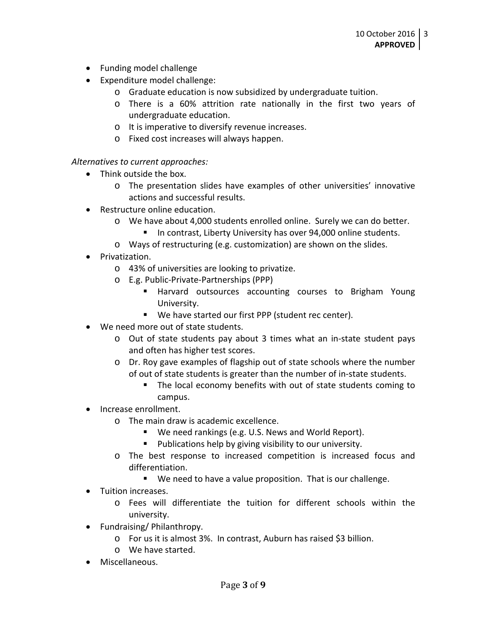- Funding model challenge
- Expenditure model challenge:
	- o Graduate education is now subsidized by undergraduate tuition.
	- o There is a 60% attrition rate nationally in the first two years of undergraduate education.
	- o It is imperative to diversify revenue increases.
	- o Fixed cost increases will always happen.

# *Alternatives to current approaches:*

- Think outside the box.
	- o The presentation slides have examples of other universities' innovative actions and successful results.
- Restructure online education.
	- o We have about 4,000 students enrolled online. Surely we can do better.
		- In contrast, Liberty University has over 94,000 online students.
	- o Ways of restructuring (e.g. customization) are shown on the slides.
- Privatization.
	- o 43% of universities are looking to privatize.
	- o E.g. Public-Private-Partnerships (PPP)
		- **Harvard outsources accounting courses to Brigham Young** University.
		- We have started our first PPP (student rec center).
- We need more out of state students.
	- o Out of state students pay about 3 times what an in-state student pays and often has higher test scores.
	- o Dr. Roy gave examples of flagship out of state schools where the number of out of state students is greater than the number of in-state students.
		- The local economy benefits with out of state students coming to campus.
- Increase enrollment.
	- o The main draw is academic excellence.
		- We need rankings (e.g. U.S. News and World Report).
		- **Publications help by giving visibility to our university.**
	- o The best response to increased competition is increased focus and differentiation.
		- We need to have a value proposition. That is our challenge.
- Tuition increases.
	- o Fees will differentiate the tuition for different schools within the university.
- Fundraising/ Philanthropy.
	- o For us it is almost 3%. In contrast, Auburn has raised \$3 billion.
	- o We have started.
- Miscellaneous.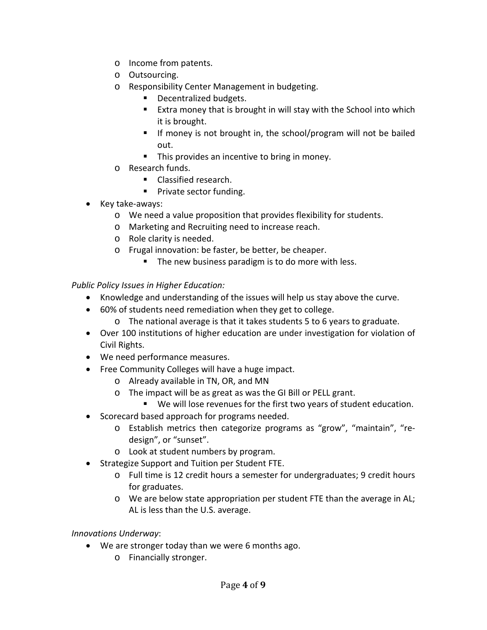- o Income from patents.
- o Outsourcing.
- o Responsibility Center Management in budgeting.
	- Decentralized budgets.
	- Extra money that is brought in will stay with the School into which it is brought.
	- **If money is not brought in, the school/program will not be bailed** out.
	- **This provides an incentive to bring in money.**
- o Research funds.
	- **Classified research.**
	- **Private sector funding.**
- Key take-aways:
	- o We need a value proposition that provides flexibility for students.
	- o Marketing and Recruiting need to increase reach.
	- o Role clarity is needed.
	- o Frugal innovation: be faster, be better, be cheaper.
		- The new business paradigm is to do more with less.

*Public Policy Issues in Higher Education:*

- Knowledge and understanding of the issues will help us stay above the curve.
- 60% of students need remediation when they get to college.
	- o The national average is that it takes students 5 to 6 years to graduate.
- Over 100 institutions of higher education are under investigation for violation of Civil Rights.
- We need performance measures.
- Free Community Colleges will have a huge impact.
	- o Already available in TN, OR, and MN
	- o The impact will be as great as was the GI Bill or PELL grant.
		- We will lose revenues for the first two years of student education.
- Scorecard based approach for programs needed.
	- o Establish metrics then categorize programs as "grow", "maintain", "redesign", or "sunset".
	- o Look at student numbers by program.
- Strategize Support and Tuition per Student FTE.
	- o Full time is 12 credit hours a semester for undergraduates; 9 credit hours for graduates.
	- o We are below state appropriation per student FTE than the average in AL; AL is less than the U.S. average.

*Innovations Underway*:

- We are stronger today than we were 6 months ago.
	- o Financially stronger.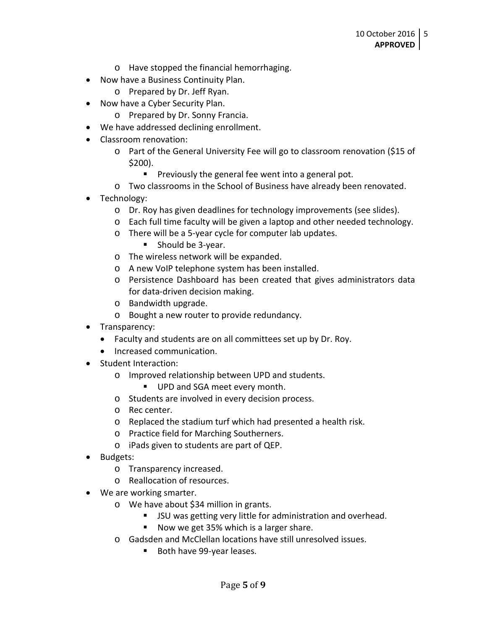- o Have stopped the financial hemorrhaging.
- Now have a Business Continuity Plan.
	- o Prepared by Dr. Jeff Ryan.
- Now have a Cyber Security Plan.
	- o Prepared by Dr. Sonny Francia.
- We have addressed declining enrollment.
- Classroom renovation:
	- o Part of the General University Fee will go to classroom renovation (\$15 of \$200).
		- **Previously the general fee went into a general pot.**
	- o Two classrooms in the School of Business have already been renovated.
- Technology:
	- o Dr. Roy has given deadlines for technology improvements (see slides).
	- o Each full time faculty will be given a laptop and other needed technology.
	- o There will be a 5-year cycle for computer lab updates.
		- **Should be 3-year.**
	- o The wireless network will be expanded.
	- o A new VoIP telephone system has been installed.
	- o Persistence Dashboard has been created that gives administrators data for data-driven decision making.
	- o Bandwidth upgrade.
	- o Bought a new router to provide redundancy.
- Transparency:
	- Faculty and students are on all committees set up by Dr. Roy.
	- Increased communication.
- Student Interaction:
	- o Improved relationship between UPD and students.
		- UPD and SGA meet every month.
	- o Students are involved in every decision process.
	- o Rec center.
	- o Replaced the stadium turf which had presented a health risk.
	- o Practice field for Marching Southerners.
	- o iPads given to students are part of QEP.
- Budgets:
	- o Transparency increased.
	- o Reallocation of resources.
- We are working smarter.
	- o We have about \$34 million in grants.
		- **JSU** was getting very little for administration and overhead.
		- Now we get 35% which is a larger share.
	- o Gadsden and McClellan locations have still unresolved issues.
		- Both have 99-year leases.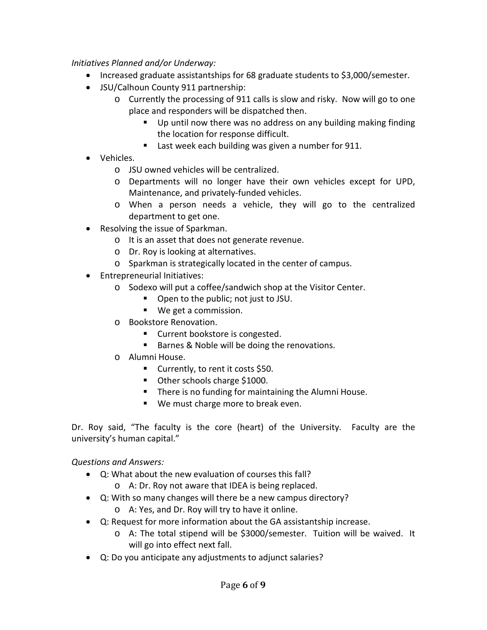*Initiatives Planned and/or Underway:*

- Increased graduate assistantships for 68 graduate students to \$3,000/semester.
- JSU/Calhoun County 911 partnership:
	- o Currently the processing of 911 calls is slow and risky. Now will go to one place and responders will be dispatched then.
		- Up until now there was no address on any building making finding the location for response difficult.
		- Last week each building was given a number for 911.
- Vehicles.
	- o JSU owned vehicles will be centralized.
	- o Departments will no longer have their own vehicles except for UPD, Maintenance, and privately-funded vehicles.
	- o When a person needs a vehicle, they will go to the centralized department to get one.
- Resolving the issue of Sparkman.
	- o It is an asset that does not generate revenue.
	- o Dr. Roy is looking at alternatives.
	- o Sparkman is strategically located in the center of campus.
- Entrepreneurial Initiatives:
	- o Sodexo will put a coffee/sandwich shop at the Visitor Center.
		- Open to the public; not just to JSU.
		- We get a commission.
	- o Bookstore Renovation.
		- **Current bookstore is congested.**
		- Barnes & Noble will be doing the renovations.
	- o Alumni House.
		- Currently, to rent it costs \$50.
		- **Divided** Other schools charge \$1000.
		- **There is no funding for maintaining the Alumni House.**
		- We must charge more to break even.

Dr. Roy said, "The faculty is the core (heart) of the University. Faculty are the university's human capital."

*Questions and Answers:*

- Q: What about the new evaluation of courses this fall?
	- o A: Dr. Roy not aware that IDEA is being replaced.
- Q: With so many changes will there be a new campus directory? o A: Yes, and Dr. Roy will try to have it online.
- Q: Request for more information about the GA assistantship increase.
	- o A: The total stipend will be \$3000/semester. Tuition will be waived. It will go into effect next fall.
- Q: Do you anticipate any adjustments to adjunct salaries?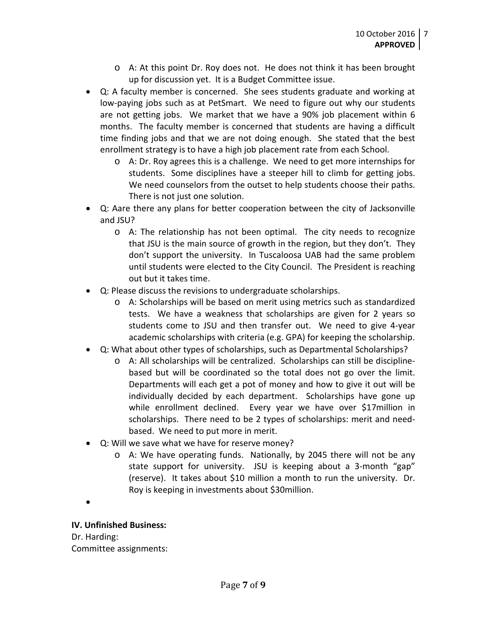- o A: At this point Dr. Roy does not. He does not think it has been brought up for discussion yet. It is a Budget Committee issue.
- Q: A faculty member is concerned. She sees students graduate and working at low-paying jobs such as at PetSmart. We need to figure out why our students are not getting jobs. We market that we have a 90% job placement within 6 months. The faculty member is concerned that students are having a difficult time finding jobs and that we are not doing enough. She stated that the best enrollment strategy is to have a high job placement rate from each School.
	- o A: Dr. Roy agrees this is a challenge. We need to get more internships for students. Some disciplines have a steeper hill to climb for getting jobs. We need counselors from the outset to help students choose their paths. There is not just one solution.
- Q: Aare there any plans for better cooperation between the city of Jacksonville and JSU?
	- o A: The relationship has not been optimal. The city needs to recognize that JSU is the main source of growth in the region, but they don't. They don't support the university. In Tuscaloosa UAB had the same problem until students were elected to the City Council. The President is reaching out but it takes time.
- Q: Please discuss the revisions to undergraduate scholarships.
	- o A: Scholarships will be based on merit using metrics such as standardized tests. We have a weakness that scholarships are given for 2 years so students come to JSU and then transfer out. We need to give 4-year academic scholarships with criteria (e.g. GPA) for keeping the scholarship.
- Q: What about other types of scholarships, such as Departmental Scholarships?
	- o A: All scholarships will be centralized. Scholarships can still be disciplinebased but will be coordinated so the total does not go over the limit. Departments will each get a pot of money and how to give it out will be individually decided by each department. Scholarships have gone up while enrollment declined. Every year we have over \$17million in scholarships. There need to be 2 types of scholarships: merit and needbased. We need to put more in merit.
- Q: Will we save what we have for reserve money?
	- o A: We have operating funds. Nationally, by 2045 there will not be any state support for university. JSU is keeping about a 3-month "gap" (reserve). It takes about \$10 million a month to run the university. Dr. Roy is keeping in investments about \$30million.

•

# **IV. Unfinished Business:**

Dr. Harding: Committee assignments: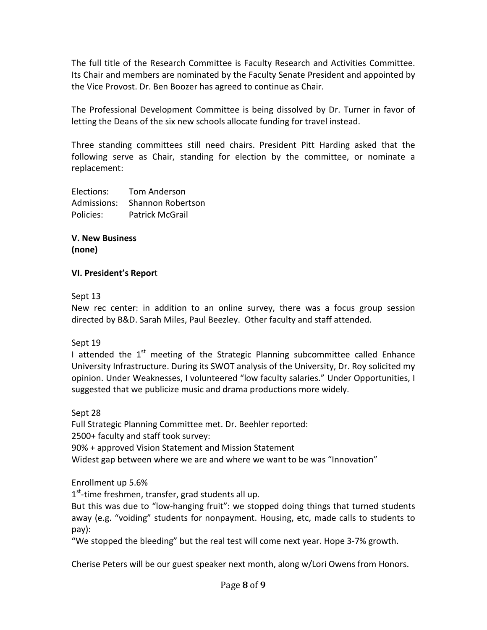The full title of the Research Committee is Faculty Research and Activities Committee. Its Chair and members are nominated by the Faculty Senate President and appointed by the Vice Provost. Dr. Ben Boozer has agreed to continue as Chair.

The Professional Development Committee is being dissolved by Dr. Turner in favor of letting the Deans of the six new schools allocate funding for travel instead.

Three standing committees still need chairs. President Pitt Harding asked that the following serve as Chair, standing for election by the committee, or nominate a replacement:

Elections: Tom Anderson Admissions: Shannon Robertson Policies: Patrick McGrail

**V. New Business (none)**

# **VI. President's Repor**t

# Sept 13

New rec center: in addition to an online survey, there was a focus group session directed by B&D. Sarah Miles, Paul Beezley. Other faculty and staff attended.

# Sept 19

I attended the  $1<sup>st</sup>$  meeting of the Strategic Planning subcommittee called Enhance University Infrastructure. During its SWOT analysis of the University, Dr. Roy solicited my opinion. Under Weaknesses, I volunteered "low faculty salaries." Under Opportunities, I suggested that we publicize music and drama productions more widely.

Sept 28

Full Strategic Planning Committee met. Dr. Beehler reported:

2500+ faculty and staff took survey:

90% + approved Vision Statement and Mission Statement

Widest gap between where we are and where we want to be was "Innovation"

# Enrollment up 5.6%

 $1<sup>st</sup>$ -time freshmen, transfer, grad students all up.

But this was due to "low-hanging fruit": we stopped doing things that turned students away (e.g. "voiding" students for nonpayment. Housing, etc, made calls to students to pay):

"We stopped the bleeding" but the real test will come next year. Hope 3-7% growth.

Cherise Peters will be our guest speaker next month, along w/Lori Owens from Honors.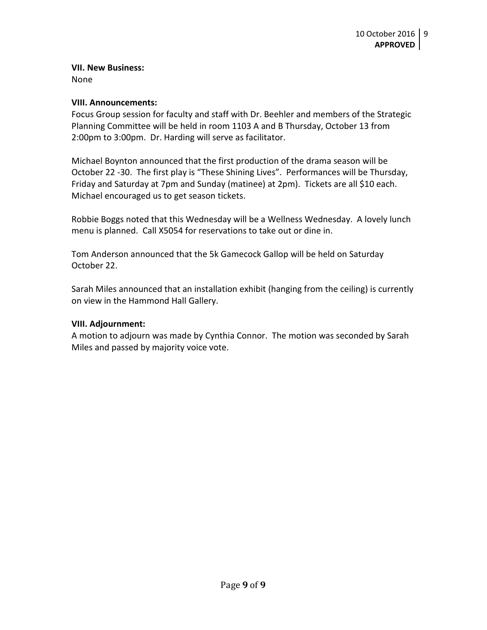# **VII. New Business:**

None

# **VIII. Announcements:**

Focus Group session for faculty and staff with Dr. Beehler and members of the Strategic Planning Committee will be held in room 1103 A and B Thursday, October 13 from 2:00pm to 3:00pm. Dr. Harding will serve as facilitator.

Michael Boynton announced that the first production of the drama season will be October 22 -30. The first play is "These Shining Lives". Performances will be Thursday, Friday and Saturday at 7pm and Sunday (matinee) at 2pm). Tickets are all \$10 each. Michael encouraged us to get season tickets.

Robbie Boggs noted that this Wednesday will be a Wellness Wednesday. A lovely lunch menu is planned. Call X5054 for reservations to take out or dine in.

Tom Anderson announced that the 5k Gamecock Gallop will be held on Saturday October 22.

Sarah Miles announced that an installation exhibit (hanging from the ceiling) is currently on view in the Hammond Hall Gallery.

# **VIII. Adjournment:**

A motion to adjourn was made by Cynthia Connor. The motion was seconded by Sarah Miles and passed by majority voice vote.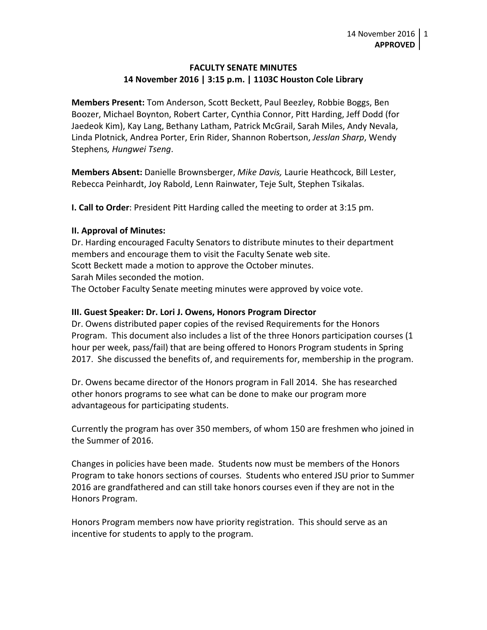# **FACULTY SENATE MINUTES 14 November 2016 | 3:15 p.m. | 1103C Houston Cole Library**

**Members Present:** Tom Anderson, Scott Beckett, Paul Beezley, Robbie Boggs, Ben Boozer, Michael Boynton, Robert Carter, Cynthia Connor, Pitt Harding, Jeff Dodd (for Jaedeok Kim), Kay Lang, Bethany Latham, Patrick McGrail, Sarah Miles, Andy Nevala, Linda Plotnick, Andrea Porter, Erin Rider, Shannon Robertson, *Jesslan Sharp*, Wendy Stephens*, Hungwei Tseng*.

**Members Absent:** Danielle Brownsberger, *Mike Davis,* Laurie Heathcock, Bill Lester, Rebecca Peinhardt, Joy Rabold, Lenn Rainwater, Teje Sult, Stephen Tsikalas.

**I. Call to Order**: President Pitt Harding called the meeting to order at 3:15 pm.

# **II. Approval of Minutes:**

Dr. Harding encouraged Faculty Senators to distribute minutes to their department members and encourage them to visit the Faculty Senate web site. Scott Beckett made a motion to approve the October minutes. Sarah Miles seconded the motion. The October Faculty Senate meeting minutes were approved by voice vote.

# **III. Guest Speaker: Dr. Lori J. Owens, Honors Program Director**

Dr. Owens distributed paper copies of the revised Requirements for the Honors Program. This document also includes a list of the three Honors participation courses (1 hour per week, pass/fail) that are being offered to Honors Program students in Spring 2017. She discussed the benefits of, and requirements for, membership in the program.

Dr. Owens became director of the Honors program in Fall 2014. She has researched other honors programs to see what can be done to make our program more advantageous for participating students.

Currently the program has over 350 members, of whom 150 are freshmen who joined in the Summer of 2016.

Changes in policies have been made. Students now must be members of the Honors Program to take honors sections of courses. Students who entered JSU prior to Summer 2016 are grandfathered and can still take honors courses even if they are not in the Honors Program.

Honors Program members now have priority registration. This should serve as an incentive for students to apply to the program.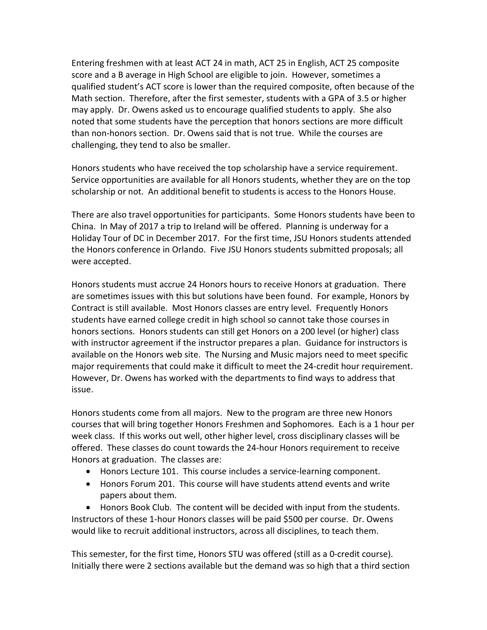Entering freshmen with at least ACT 24 in math, ACT 25 in English, ACT 25 composite score and a B average in High School are eligible to join. However, sometimes a qualified student's ACT score is lower than the required composite, often because of the Math section. Therefore, after the first semester, students with a GPA of 3.5 or higher may apply. Dr. Owens asked us to encourage qualified students to apply. She also noted that some students have the perception that honors sections are more difficult than non-honors section. Dr. Owens said that is not true. While the courses are challenging, they tend to also be smaller.

Honors students who have received the top scholarship have a service requirement. Service opportunities are available for all Honors students, whether they are on the top scholarship or not. An additional benefit to students is access to the Honors House.

There are also travel opportunities for participants. Some Honors students have been to China. In May of 2017 a trip to Ireland will be offered. Planning is underway for a Holiday Tour of DC in December 2017. For the first time, JSU Honors students attended the Honors conference in Orlando. Five JSU Honors students submitted proposals; all were accepted.

Honors students must accrue 24 Honors hours to receive Honors at graduation. There are sometimes issues with this but solutions have been found. For example, Honors by Contract is still available. Most Honors classes are entry level. Frequently Honors students have earned college credit in high school so cannot take those courses in honors sections. Honors students can still get Honors on a 200 level (or higher) class with instructor agreement if the instructor prepares a plan. Guidance for instructors is available on the Honors web site. The Nursing and Music majors need to meet specific major requirements that could make it difficult to meet the 24-credit hour requirement. However, Dr. Owens has worked with the departments to find ways to address that issue.

Honors students come from all majors. New to the program are three new Honors courses that will bring together Honors Freshmen and Sophomores. Each is a 1 hour per week class. If this works out well, other higher level, cross disciplinary classes will be offered. These classes do count towards the 24-hour Honors requirement to receive Honors at graduation. The classes are:

- Honors Lecture 101. This course includes a service-learning component.
- Honors Forum 201. This course will have students attend events and write papers about them.

• Honors Book Club. The content will be decided with input from the students. Instructors of these 1-hour Honors classes will be paid \$500 per course. Dr. Owens would like to recruit additional instructors, across all disciplines, to teach them.

This semester, for the first time, Honors STU was offered (still as a 0-credit course). Initially there were 2 sections available but the demand was so high that a third section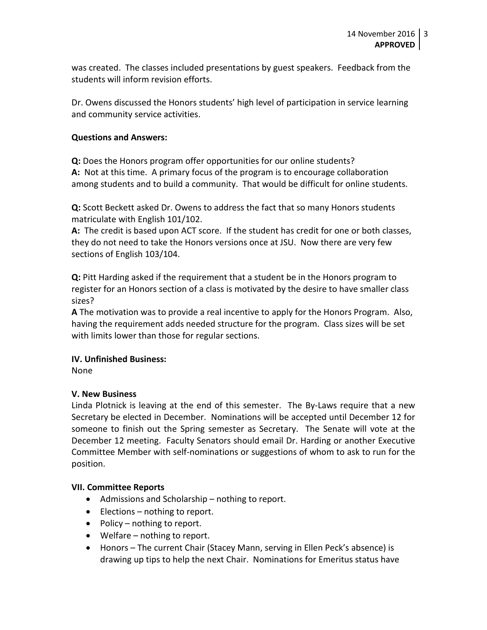was created. The classes included presentations by guest speakers. Feedback from the students will inform revision efforts.

Dr. Owens discussed the Honors students' high level of participation in service learning and community service activities.

# **Questions and Answers:**

**Q:** Does the Honors program offer opportunities for our online students? **A:** Not at this time. A primary focus of the program is to encourage collaboration among students and to build a community. That would be difficult for online students.

**Q:** Scott Beckett asked Dr. Owens to address the fact that so many Honors students matriculate with English 101/102.

**A:** The credit is based upon ACT score. If the student has credit for one or both classes, they do not need to take the Honors versions once at JSU. Now there are very few sections of English 103/104.

**Q:** Pitt Harding asked if the requirement that a student be in the Honors program to register for an Honors section of a class is motivated by the desire to have smaller class sizes?

**A** The motivation was to provide a real incentive to apply for the Honors Program. Also, having the requirement adds needed structure for the program. Class sizes will be set with limits lower than those for regular sections.

# **IV. Unfinished Business:**

None

# **V. New Business**

Linda Plotnick is leaving at the end of this semester. The By-Laws require that a new Secretary be elected in December. Nominations will be accepted until December 12 for someone to finish out the Spring semester as Secretary. The Senate will vote at the December 12 meeting. Faculty Senators should email Dr. Harding or another Executive Committee Member with self-nominations or suggestions of whom to ask to run for the position.

# **VII. Committee Reports**

- Admissions and Scholarship nothing to report.
- Elections nothing to report.
- Policy nothing to report.
- Welfare nothing to report.
- Honors The current Chair (Stacey Mann, serving in Ellen Peck's absence) is drawing up tips to help the next Chair. Nominations for Emeritus status have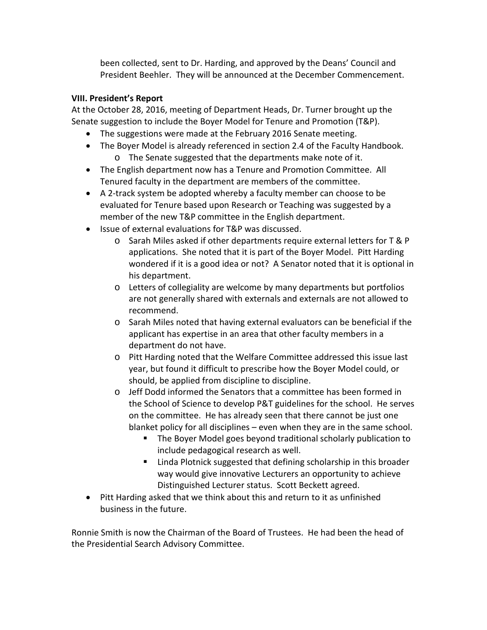been collected, sent to Dr. Harding, and approved by the Deans' Council and President Beehler. They will be announced at the December Commencement.

# **VIII. President's Report**

At the October 28, 2016, meeting of Department Heads, Dr. Turner brought up the Senate suggestion to include the Boyer Model for Tenure and Promotion (T&P).

- The suggestions were made at the February 2016 Senate meeting.
- The Boyer Model is already referenced in section 2.4 of the Faculty Handbook. o The Senate suggested that the departments make note of it.
- The English department now has a Tenure and Promotion Committee. All Tenured faculty in the department are members of the committee.
- A 2-track system be adopted whereby a faculty member can choose to be evaluated for Tenure based upon Research or Teaching was suggested by a member of the new T&P committee in the English department.
- Issue of external evaluations for T&P was discussed.
	- o Sarah Miles asked if other departments require external letters for T & P applications. She noted that it is part of the Boyer Model. Pitt Harding wondered if it is a good idea or not? A Senator noted that it is optional in his department.
	- o Letters of collegiality are welcome by many departments but portfolios are not generally shared with externals and externals are not allowed to recommend.
	- o Sarah Miles noted that having external evaluators can be beneficial if the applicant has expertise in an area that other faculty members in a department do not have.
	- o Pitt Harding noted that the Welfare Committee addressed this issue last year, but found it difficult to prescribe how the Boyer Model could, or should, be applied from discipline to discipline.
	- o Jeff Dodd informed the Senators that a committee has been formed in the School of Science to develop P&T guidelines for the school. He serves on the committee. He has already seen that there cannot be just one blanket policy for all disciplines – even when they are in the same school.
		- The Boyer Model goes beyond traditional scholarly publication to include pedagogical research as well.
		- Linda Plotnick suggested that defining scholarship in this broader way would give innovative Lecturers an opportunity to achieve Distinguished Lecturer status. Scott Beckett agreed.
- Pitt Harding asked that we think about this and return to it as unfinished business in the future.

Ronnie Smith is now the Chairman of the Board of Trustees. He had been the head of the Presidential Search Advisory Committee.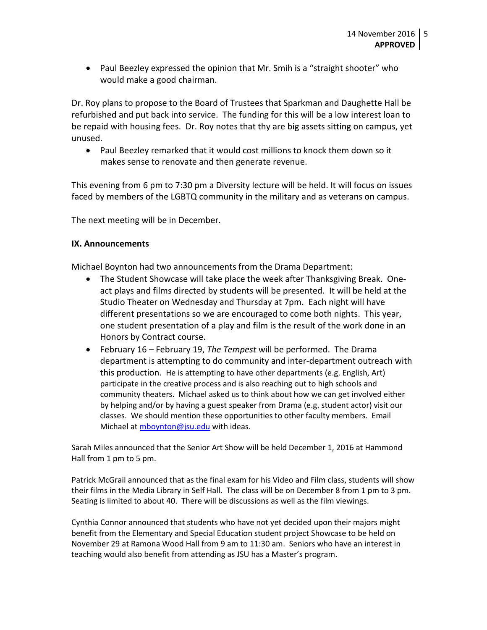• Paul Beezley expressed the opinion that Mr. Smih is a "straight shooter" who would make a good chairman.

Dr. Roy plans to propose to the Board of Trustees that Sparkman and Daughette Hall be refurbished and put back into service. The funding for this will be a low interest loan to be repaid with housing fees. Dr. Roy notes that thy are big assets sitting on campus, yet unused.

• Paul Beezley remarked that it would cost millions to knock them down so it makes sense to renovate and then generate revenue.

This evening from 6 pm to 7:30 pm a Diversity lecture will be held. It will focus on issues faced by members of the LGBTQ community in the military and as veterans on campus.

The next meeting will be in December.

# **IX. Announcements**

Michael Boynton had two announcements from the Drama Department:

- The Student Showcase will take place the week after Thanksgiving Break. Oneact plays and films directed by students will be presented. It will be held at the Studio Theater on Wednesday and Thursday at 7pm. Each night will have different presentations so we are encouraged to come both nights. This year, one student presentation of a play and film is the result of the work done in an Honors by Contract course.
- February 16 February 19, *The Tempest* will be performed. The Drama department is attempting to do community and inter-department outreach with this production. He is attempting to have other departments (e.g. English, Art) participate in the creative process and is also reaching out to high schools and community theaters. Michael asked us to think about how we can get involved either by helping and/or by having a guest speaker from Drama (e.g. student actor) visit our classes. We should mention these opportunities to other faculty members. Email Michael at [mboynton@jsu.edu](mailto:mboynton@jsu.edu) with ideas.

Sarah Miles announced that the Senior Art Show will be held December 1, 2016 at Hammond Hall from 1 pm to 5 pm.

Patrick McGrail announced that as the final exam for his Video and Film class, students will show their films in the Media Library in Self Hall. The class will be on December 8 from 1 pm to 3 pm. Seating is limited to about 40. There will be discussions as well as the film viewings.

Cynthia Connor announced that students who have not yet decided upon their majors might benefit from the Elementary and Special Education student project Showcase to be held on November 29 at Ramona Wood Hall from 9 am to 11:30 am. Seniors who have an interest in teaching would also benefit from attending as JSU has a Master's program.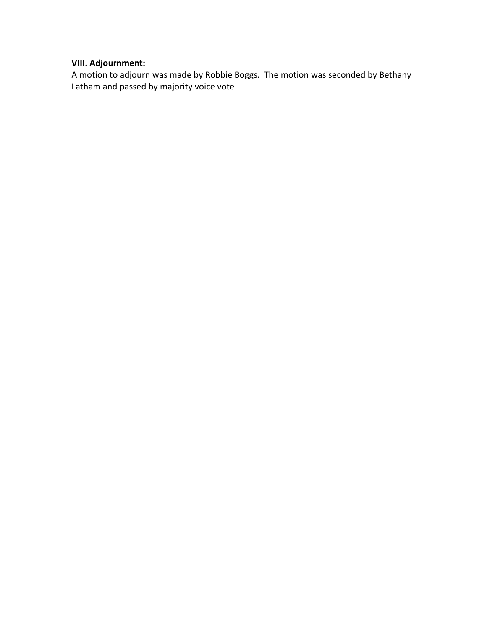# **VIII. Adjournment:**

A motion to adjourn was made by Robbie Boggs. The motion was seconded by Bethany Latham and passed by majority voice vote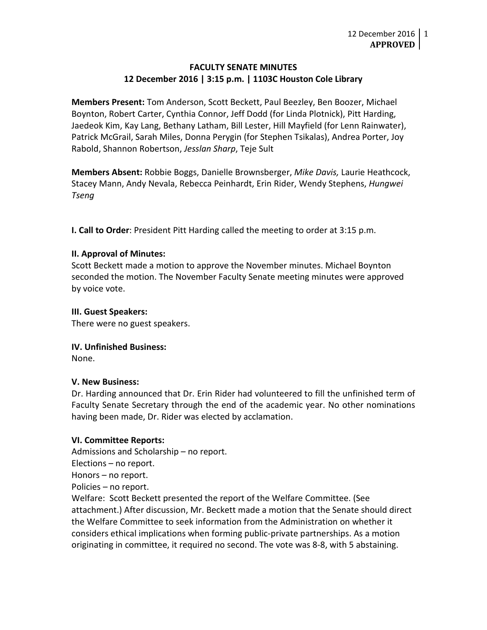# **FACULTY SENATE MINUTES 12 December 2016 | 3:15 p.m. | 1103C Houston Cole Library**

**Members Present:** Tom Anderson, Scott Beckett, Paul Beezley, Ben Boozer, Michael Boynton, Robert Carter, Cynthia Connor, Jeff Dodd (for Linda Plotnick), Pitt Harding, Jaedeok Kim, Kay Lang, Bethany Latham, Bill Lester, Hill Mayfield (for Lenn Rainwater), Patrick McGrail, Sarah Miles, Donna Perygin (for Stephen Tsikalas), Andrea Porter, Joy Rabold, Shannon Robertson, *Jesslan Sharp*, Teje Sult

**Members Absent:** Robbie Boggs, Danielle Brownsberger, *Mike Davis,* Laurie Heathcock, Stacey Mann, Andy Nevala, Rebecca Peinhardt, Erin Rider, Wendy Stephens, *Hungwei Tseng*

**I. Call to Order**: President Pitt Harding called the meeting to order at 3:15 p.m.

# **II. Approval of Minutes:**

Scott Beckett made a motion to approve the November minutes. Michael Boynton seconded the motion. The November Faculty Senate meeting minutes were approved by voice vote.

# **III. Guest Speakers:**

There were no guest speakers.

# **IV. Unfinished Business:**

None.

# **V. New Business:**

Dr. Harding announced that Dr. Erin Rider had volunteered to fill the unfinished term of Faculty Senate Secretary through the end of the academic year. No other nominations having been made, Dr. Rider was elected by acclamation.

# **VI. Committee Reports:**

Admissions and Scholarship – no report. Elections – no report.

Honors – no report.

Policies – no report.

Welfare: Scott Beckett presented the report of the Welfare Committee. (See attachment.) After discussion, Mr. Beckett made a motion that the Senate should direct the Welfare Committee to seek information from the Administration on whether it considers ethical implications when forming public-private partnerships. As a motion originating in committee, it required no second. The vote was 8-8, with 5 abstaining.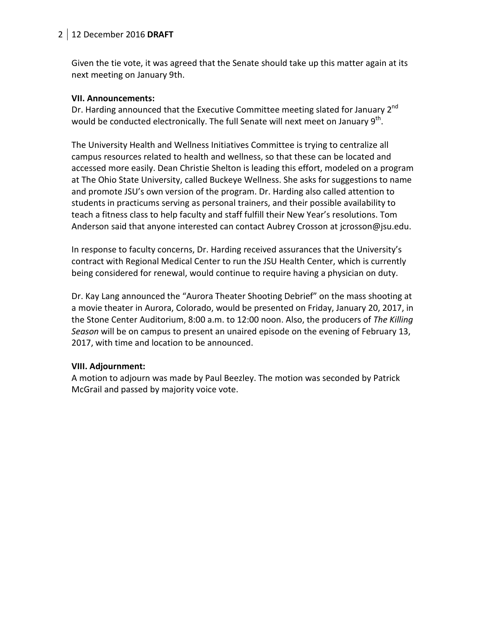# 2 12 December 2016 **DRAFT**

Given the tie vote, it was agreed that the Senate should take up this matter again at its next meeting on January 9th.

# **VII. Announcements:**

Dr. Harding announced that the Executive Committee meeting slated for January 2<sup>nd</sup> would be conducted electronically. The full Senate will next meet on January  $9<sup>th</sup>$ .

The University Health and Wellness Initiatives Committee is trying to centralize all campus resources related to health and wellness, so that these can be located and accessed more easily. Dean Christie Shelton is leading this effort, modeled on a program at The Ohio State University, called Buckeye Wellness. She asks for suggestions to name and promote JSU's own version of the program. Dr. Harding also called attention to students in practicums serving as personal trainers, and their possible availability to teach a fitness class to help faculty and staff fulfill their New Year's resolutions. Tom Anderson said that anyone interested can contact Aubrey Crosson at jcrosson@jsu.edu.

In response to faculty concerns, Dr. Harding received assurances that the University's contract with Regional Medical Center to run the JSU Health Center, which is currently being considered for renewal, would continue to require having a physician on duty.

Dr. Kay Lang announced the "Aurora Theater Shooting Debrief" on the mass shooting at a movie theater in Aurora, Colorado, would be presented on Friday, January 20, 2017, in the Stone Center Auditorium, 8:00 a.m. to 12:00 noon. Also, the producers of *The Killing Season* will be on campus to present an unaired episode on the evening of February 13, 2017, with time and location to be announced.

# **VIII. Adjournment:**

A motion to adjourn was made by Paul Beezley. The motion was seconded by Patrick McGrail and passed by majority voice vote.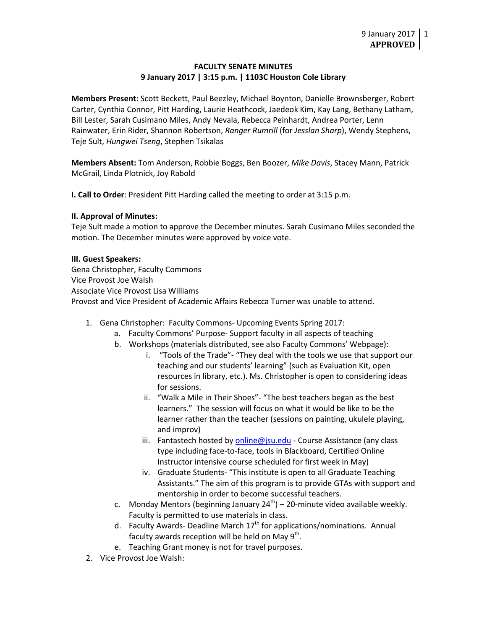## **FACULTY SENATE MINUTES 9 January 2017 | 3:15 p.m. | 1103C Houston Cole Library**

**Members Present:** Scott Beckett, Paul Beezley, Michael Boynton, Danielle Brownsberger, Robert Carter, Cynthia Connor, Pitt Harding, Laurie Heathcock, Jaedeok Kim, Kay Lang, Bethany Latham, Bill Lester, Sarah Cusimano Miles, Andy Nevala, Rebecca Peinhardt, Andrea Porter, Lenn Rainwater, Erin Rider, Shannon Robertson, *Ranger Rumrill* (for *Jesslan Sharp*), Wendy Stephens, Teje Sult, *Hungwei Tseng*, Stephen Tsikalas

**Members Absent:** Tom Anderson, Robbie Boggs, Ben Boozer, *Mike Davis*, Stacey Mann, Patrick McGrail, Linda Plotnick, Joy Rabold

**I. Call to Order**: President Pitt Harding called the meeting to order at 3:15 p.m.

#### **II. Approval of Minutes:**

Teje Sult made a motion to approve the December minutes. Sarah Cusimano Miles seconded the motion. The December minutes were approved by voice vote.

#### **III. Guest Speakers:**

Gena Christopher, Faculty Commons Vice Provost Joe Walsh Associate Vice Provost Lisa Williams Provost and Vice President of Academic Affairs Rebecca Turner was unable to attend.

- 1. Gena Christopher: Faculty Commons- Upcoming Events Spring 2017:
	- a. Faculty Commons' Purpose- Support faculty in all aspects of teaching
	- b. Workshops (materials distributed, see also Faculty Commons' Webpage):
		- i. "Tools of the Trade"- "They deal with the tools we use that support our teaching and our students' learning" (such as Evaluation Kit, open resources in library, etc.). Ms. Christopher is open to considering ideas for sessions.
		- ii. "Walk a Mile in Their Shoes"- "The best teachers began as the best learners." The session will focus on what it would be like to be the learner rather than the teacher (sessions on painting, ukulele playing, and improv)
		- iii. Fantastech hosted by [online@jsu.edu](mailto:online@jsu.edu) Course Assistance (any class type including face-to-face, tools in Blackboard, Certified Online Instructor intensive course scheduled for first week in May)
		- iv. Graduate Students- "This institute is open to all Graduate Teaching Assistants." The aim of this program is to provide GTAs with support and mentorship in order to become successful teachers.
	- c. Monday Mentors (beginning January  $24^{th}$ ) 20-minute video available weekly. Faculty is permitted to use materials in class.
	- d. Faculty Awards- Deadline March  $17<sup>th</sup>$  for applications/nominations. Annual faculty awards reception will be held on May  $9<sup>th</sup>$ .
	- e. Teaching Grant money is not for travel purposes.
- 2. Vice Provost Joe Walsh: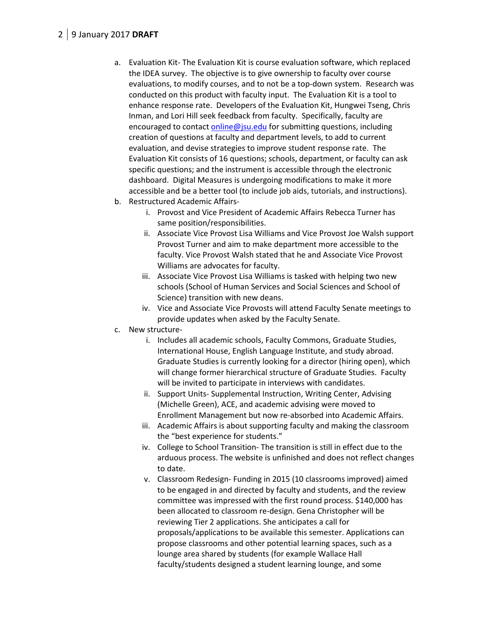# 2 9 January 2017 **DRAFT**

- a. Evaluation Kit- The Evaluation Kit is course evaluation software, which replaced the IDEA survey. The objective is to give ownership to faculty over course evaluations, to modify courses, and to not be a top-down system. Research was conducted on this product with faculty input. The Evaluation Kit is a tool to enhance response rate. Developers of the Evaluation Kit, Hungwei Tseng, Chris Inman, and Lori Hill seek feedback from faculty. Specifically, faculty are encouraged to contact online@jsu.edu for submitting questions, including creation of questions at faculty and department levels, to add to current evaluation, and devise strategies to improve student response rate. The Evaluation Kit consists of 16 questions; schools, department, or faculty can ask specific questions; and the instrument is accessible through the electronic dashboard. Digital Measures is undergoing modifications to make it more accessible and be a better tool (to include job aids, tutorials, and instructions).
- b. Restructured Academic Affairs
	- i. Provost and Vice President of Academic Affairs Rebecca Turner has same position/responsibilities.
	- ii. Associate Vice Provost Lisa Williams and Vice Provost Joe Walsh support Provost Turner and aim to make department more accessible to the faculty. Vice Provost Walsh stated that he and Associate Vice Provost Williams are advocates for faculty.
	- iii. Associate Vice Provost Lisa Williams is tasked with helping two new schools (School of Human Services and Social Sciences and School of Science) transition with new deans.
	- iv. Vice and Associate Vice Provosts will attend Faculty Senate meetings to provide updates when asked by the Faculty Senate.
- c. New structure
	- i. Includes all academic schools, Faculty Commons, Graduate Studies, International House, English Language Institute, and study abroad. Graduate Studies is currently looking for a director (hiring open), which will change former hierarchical structure of Graduate Studies. Faculty will be invited to participate in interviews with candidates.
	- ii. Support Units- Supplemental Instruction, Writing Center, Advising (Michelle Green), ACE, and academic advising were moved to Enrollment Management but now re-absorbed into Academic Affairs.
	- iii. Academic Affairs is about supporting faculty and making the classroom the "best experience for students."
	- iv. College to School Transition- The transition is still in effect due to the arduous process. The website is unfinished and does not reflect changes to date.
	- v. Classroom Redesign- Funding in 2015 (10 classrooms improved) aimed to be engaged in and directed by faculty and students, and the review committee was impressed with the first round process. \$140,000 has been allocated to classroom re-design. Gena Christopher will be reviewing Tier 2 applications. She anticipates a call for proposals/applications to be available this semester. Applications can propose classrooms and other potential learning spaces, such as a lounge area shared by students (for example Wallace Hall faculty/students designed a student learning lounge, and some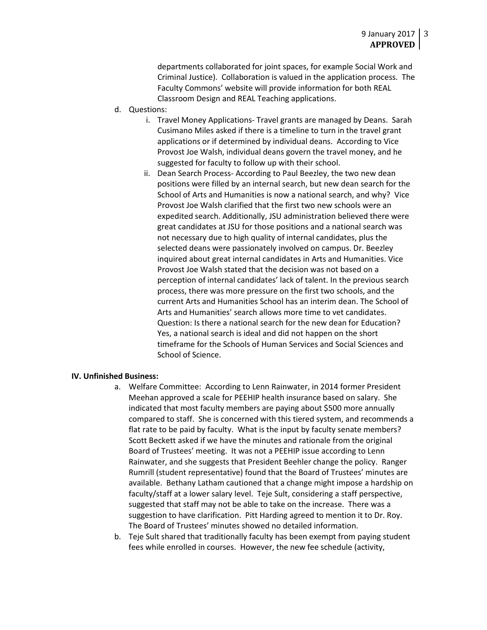departments collaborated for joint spaces, for example Social Work and Criminal Justice). Collaboration is valued in the application process. The Faculty Commons' website will provide information for both REAL Classroom Design and REAL Teaching applications.

- d. Questions:
	- i. Travel Money Applications- Travel grants are managed by Deans. Sarah Cusimano Miles asked if there is a timeline to turn in the travel grant applications or if determined by individual deans. According to Vice Provost Joe Walsh, individual deans govern the travel money, and he suggested for faculty to follow up with their school.
	- ii. Dean Search Process- According to Paul Beezley, the two new dean positions were filled by an internal search, but new dean search for the School of Arts and Humanities is now a national search, and why? Vice Provost Joe Walsh clarified that the first two new schools were an expedited search. Additionally, JSU administration believed there were great candidates at JSU for those positions and a national search was not necessary due to high quality of internal candidates, plus the selected deans were passionately involved on campus. Dr. Beezley inquired about great internal candidates in Arts and Humanities. Vice Provost Joe Walsh stated that the decision was not based on a perception of internal candidates' lack of talent. In the previous search process, there was more pressure on the first two schools, and the current Arts and Humanities School has an interim dean. The School of Arts and Humanities' search allows more time to vet candidates. Question: Is there a national search for the new dean for Education? Yes, a national search is ideal and did not happen on the short timeframe for the Schools of Human Services and Social Sciences and School of Science.

#### **IV. Unfinished Business:**

- a. Welfare Committee: According to Lenn Rainwater, in 2014 former President Meehan approved a scale for PEEHIP health insurance based on salary. She indicated that most faculty members are paying about \$500 more annually compared to staff. She is concerned with this tiered system, and recommends a flat rate to be paid by faculty. What is the input by faculty senate members? Scott Beckett asked if we have the minutes and rationale from the original Board of Trustees' meeting. It was not a PEEHIP issue according to Lenn Rainwater, and she suggests that President Beehler change the policy. Ranger Rumrill (student representative) found that the Board of Trustees' minutes are available. Bethany Latham cautioned that a change might impose a hardship on faculty/staff at a lower salary level. Teje Sult, considering a staff perspective, suggested that staff may not be able to take on the increase. There was a suggestion to have clarification. Pitt Harding agreed to mention it to Dr. Roy. The Board of Trustees' minutes showed no detailed information.
- b. Teje Sult shared that traditionally faculty has been exempt from paying student fees while enrolled in courses. However, the new fee schedule (activity,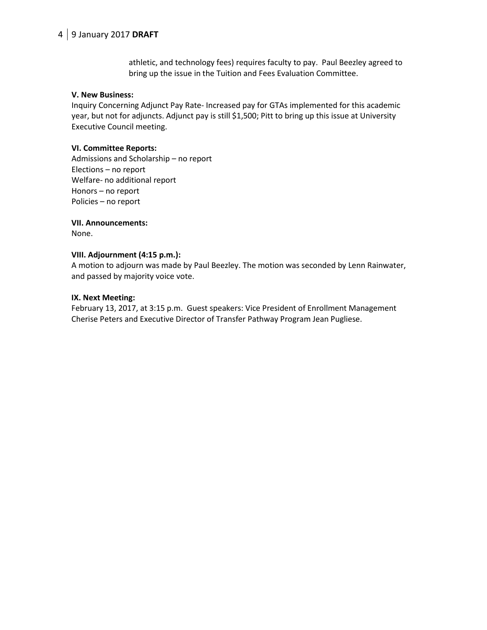# 4 9 January 2017 **DRAFT**

athletic, and technology fees) requires faculty to pay. Paul Beezley agreed to bring up the issue in the Tuition and Fees Evaluation Committee.

#### **V. New Business:**

Inquiry Concerning Adjunct Pay Rate- Increased pay for GTAs implemented for this academic year, but not for adjuncts. Adjunct pay is still \$1,500; Pitt to bring up this issue at University Executive Council meeting.

#### **VI. Committee Reports:**

Admissions and Scholarship – no report Elections – no report Welfare- no additional report Honors – no report Policies – no report

**VII. Announcements:**

None.

#### **VIII. Adjournment (4:15 p.m.):**

A motion to adjourn was made by Paul Beezley. The motion was seconded by Lenn Rainwater, and passed by majority voice vote.

#### **IX. Next Meeting:**

February 13, 2017, at 3:15 p.m. Guest speakers: Vice President of Enrollment Management Cherise Peters and Executive Director of Transfer Pathway Program Jean Pugliese.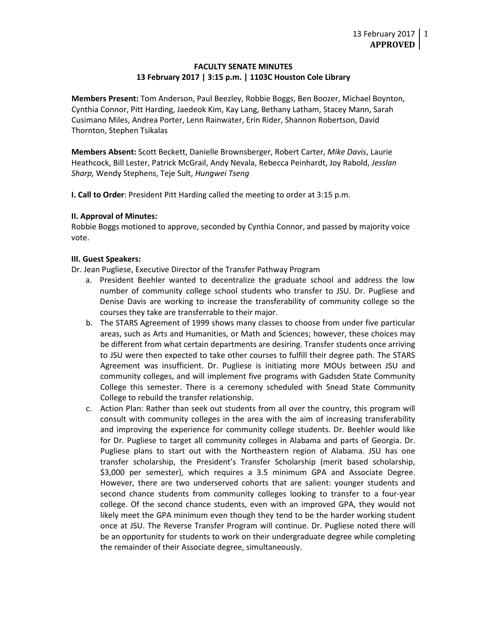## **FACULTY SENATE MINUTES 13 February 2017 | 3:15 p.m. | 1103C Houston Cole Library**

**Members Present:** Tom Anderson, Paul Beezley, Robbie Boggs, Ben Boozer, Michael Boynton, Cynthia Connor, Pitt Harding, Jaedeok Kim, Kay Lang, Bethany Latham, Stacey Mann, Sarah Cusimano Miles, Andrea Porter, Lenn Rainwater, Erin Rider, Shannon Robertson, David Thornton, Stephen Tsikalas

**Members Absent:** Scott Beckett, Danielle Brownsberger, Robert Carter, *Mike Davis*, Laurie Heathcock, Bill Lester, Patrick McGrail, Andy Nevala, Rebecca Peinhardt, Joy Rabold, *Jesslan Sharp,* Wendy Stephens, Teje Sult, *Hungwei Tseng*

**I. Call to Order**: President Pitt Harding called the meeting to order at 3:15 p.m.

#### **II. Approval of Minutes:**

Robbie Boggs motioned to approve, seconded by Cynthia Connor, and passed by majority voice vote.

#### **III. Guest Speakers:**

Dr. Jean Pugliese, Executive Director of the Transfer Pathway Program

- a. President Beehler wanted to decentralize the graduate school and address the low number of community college school students who transfer to JSU. Dr. Pugliese and Denise Davis are working to increase the transferability of community college so the courses they take are transferrable to their major.
- b. The STARS Agreement of 1999 shows many classes to choose from under five particular areas, such as Arts and Humanities, or Math and Sciences; however, these choices may be different from what certain departments are desiring. Transfer students once arriving to JSU were then expected to take other courses to fulfill their degree path. The STARS Agreement was insufficient. Dr. Pugliese is initiating more MOUs between JSU and community colleges, and will implement five programs with Gadsden State Community College this semester. There is a ceremony scheduled with Snead State Community College to rebuild the transfer relationship.
- c. Action Plan: Rather than seek out students from all over the country, this program will consult with community colleges in the area with the aim of increasing transferability and improving the experience for community college students. Dr. Beehler would like for Dr. Pugliese to target all community colleges in Alabama and parts of Georgia. Dr. Pugliese plans to start out with the Northeastern region of Alabama. JSU has one transfer scholarship, the President's Transfer Scholarship (merit based scholarship, \$3,000 per semester), which requires a 3.5 minimum GPA and Associate Degree. However, there are two underserved cohorts that are salient: younger students and second chance students from community colleges looking to transfer to a four-year college. Of the second chance students, even with an improved GPA, they would not likely meet the GPA minimum even though they tend to be the harder working student once at JSU. The Reverse Transfer Program will continue. Dr. Pugliese noted there will be an opportunity for students to work on their undergraduate degree while completing the remainder of their Associate degree, simultaneously.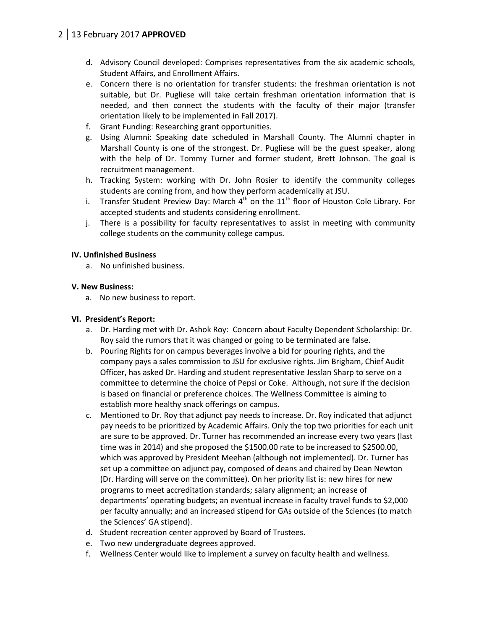# 2 13 February 2017 **APPROVED**

- d. Advisory Council developed: Comprises representatives from the six academic schools, Student Affairs, and Enrollment Affairs.
- e. Concern there is no orientation for transfer students: the freshman orientation is not suitable, but Dr. Pugliese will take certain freshman orientation information that is needed, and then connect the students with the faculty of their major (transfer orientation likely to be implemented in Fall 2017).
- f. Grant Funding: Researching grant opportunities.
- g. Using Alumni: Speaking date scheduled in Marshall County. The Alumni chapter in Marshall County is one of the strongest. Dr. Pugliese will be the guest speaker, along with the help of Dr. Tommy Turner and former student, Brett Johnson. The goal is recruitment management.
- h. Tracking System: working with Dr. John Rosier to identify the community colleges students are coming from, and how they perform academically at JSU.
- i. Transfer Student Preview Day: March  $4<sup>th</sup>$  on the  $11<sup>th</sup>$  floor of Houston Cole Library. For accepted students and students considering enrollment.
- j. There is a possibility for faculty representatives to assist in meeting with community college students on the community college campus.

# **IV. Unfinished Business**

a. No unfinished business.

# **V. New Business:**

a. No new business to report.

# **VI. President's Report:**

- a. Dr. Harding met with Dr. Ashok Roy: Concern about Faculty Dependent Scholarship: Dr. Roy said the rumors that it was changed or going to be terminated are false.
- b. Pouring Rights for on campus beverages involve a bid for pouring rights, and the company pays a sales commission to JSU for exclusive rights. Jim Brigham, Chief Audit Officer, has asked Dr. Harding and student representative Jesslan Sharp to serve on a committee to determine the choice of Pepsi or Coke. Although, not sure if the decision is based on financial or preference choices. The Wellness Committee is aiming to establish more healthy snack offerings on campus.
- c. Mentioned to Dr. Roy that adjunct pay needs to increase. Dr. Roy indicated that adjunct pay needs to be prioritized by Academic Affairs. Only the top two priorities for each unit are sure to be approved. Dr. Turner has recommended an increase every two years (last time was in 2014) and she proposed the \$1500.00 rate to be increased to \$2500.00, which was approved by President Meehan (although not implemented). Dr. Turner has set up a committee on adjunct pay, composed of deans and chaired by Dean Newton (Dr. Harding will serve on the committee). On her priority list is: new hires for new programs to meet accreditation standards; salary alignment; an increase of departments' operating budgets; an eventual increase in faculty travel funds to \$2,000 per faculty annually; and an increased stipend for GAs outside of the Sciences (to match the Sciences' GA stipend).
- d. Student recreation center approved by Board of Trustees.
- e. Two new undergraduate degrees approved.
- f. Wellness Center would like to implement a survey on faculty health and wellness.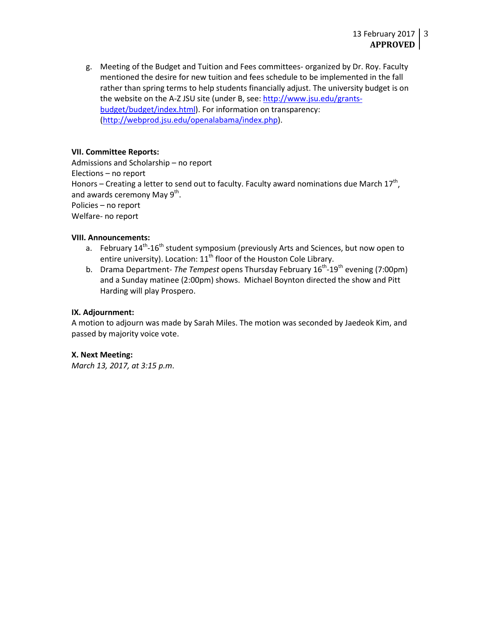g. Meeting of the Budget and Tuition and Fees committees- organized by Dr. Roy. Faculty mentioned the desire for new tuition and fees schedule to be implemented in the fall rather than spring terms to help students financially adjust. The university budget is on the website on the A-Z JSU site (under B, see: [http://www.jsu.edu/grants](http://www.jsu.edu/grants-budget/budget/index.html)[budget/budget/index.html\)](http://www.jsu.edu/grants-budget/budget/index.html). For information on transparency: [\(http://webprod.jsu.edu/openalabama/index.php\)](http://webprod.jsu.edu/openalabama/index.php).

#### **VII. Committee Reports:**

Admissions and Scholarship – no report Elections – no report Honors – Creating a letter to send out to faculty. Faculty award nominations due March 17<sup>th</sup>, and awards ceremony May  $9<sup>th</sup>$ . Policies – no report Welfare- no report

## **VIII. Announcements:**

- a. February 14<sup>th</sup>-16<sup>th</sup> student symposium (previously Arts and Sciences, but now open to entire university). Location:  $11<sup>th</sup>$  floor of the Houston Cole Library.
- b. Drama Department- *The Tempest* opens Thursday February 16th-19th evening (7:00pm) and a Sunday matinee (2:00pm) shows. Michael Boynton directed the show and Pitt Harding will play Prospero.

## **IX. Adjournment:**

A motion to adjourn was made by Sarah Miles. The motion was seconded by Jaedeok Kim, and passed by majority voice vote.

#### **X. Next Meeting:**

*March 13, 2017, at 3:15 p.m*.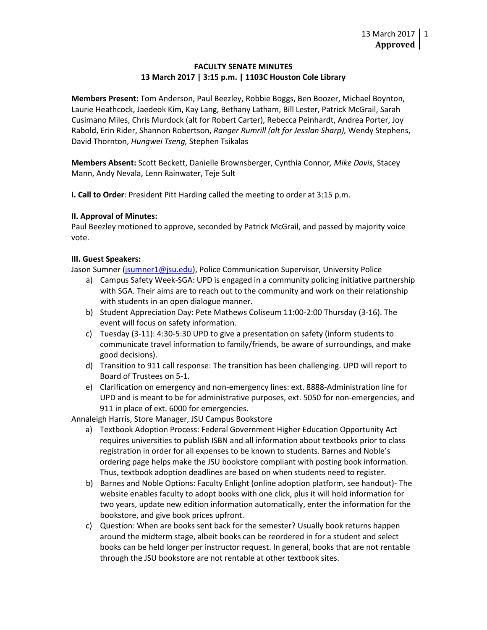## **FACULTY SENATE MINUTES 13 March 2017 | 3:15 p.m. | 1103C Houston Cole Library**

**Members Present:** Tom Anderson, Paul Beezley, Robbie Boggs, Ben Boozer, Michael Boynton, Laurie Heathcock, Jaedeok Kim, Kay Lang, Bethany Latham, Bill Lester, Patrick McGrail, Sarah Cusimano Miles, Chris Murdock (alt for Robert Carter), Rebecca Peinhardt, Andrea Porter, Joy Rabold, Erin Rider, Shannon Robertson, *Ranger Rumrill (alt for Jesslan Sharp),* Wendy Stephens, David Thornton, *Hungwei Tseng,* Stephen Tsikalas

**Members Absent:** Scott Beckett, Danielle Brownsberger, Cynthia Connor*, Mike Davis*, Stacey Mann, Andy Nevala, Lenn Rainwater, Teje Sult

**I. Call to Order**: President Pitt Harding called the meeting to order at 3:15 p.m.

#### **II. Approval of Minutes:**

Paul Beezley motioned to approve, seconded by Patrick McGrail, and passed by majority voice vote.

#### **III. Guest Speakers:**

Jason Sumner (jsumner1@jsu.edu), Police Communication Supervisor, University Police

- a) Campus Safety Week-SGA: UPD is engaged in a community policing initiative partnership with SGA. Their aims are to reach out to the community and work on their relationship with students in an open dialogue manner.
- b) Student Appreciation Day: Pete Mathews Coliseum 11:00-2:00 Thursday (3-16). The event will focus on safety information.
- c) Tuesday (3-11): 4:30-5:30 UPD to give a presentation on safety (inform students to communicate travel information to family/friends, be aware of surroundings, and make good decisions).
- d) Transition to 911 call response: The transition has been challenging. UPD will report to Board of Trustees on 5-1.
- e) Clarification on emergency and non-emergency lines: ext. 8888-Administration line for UPD and is meant to be for administrative purposes, ext. 5050 for non-emergencies, and 911 in place of ext. 6000 for emergencies.

Annaleigh Harris, Store Manager, JSU Campus Bookstore

- a) Textbook Adoption Process: Federal Government Higher Education Opportunity Act requires universities to publish ISBN and all information about textbooks prior to class registration in order for all expenses to be known to students. Barnes and Noble's ordering page helps make the JSU bookstore compliant with posting book information. Thus, textbook adoption deadlines are based on when students need to register.
- b) Barnes and Noble Options: Faculty Enlight (online adoption platform, see handout)- The website enables faculty to adopt books with one click, plus it will hold information for two years, update new edition information automatically, enter the information for the bookstore, and give book prices upfront.
- c) Question: When are books sent back for the semester? Usually book returns happen around the midterm stage, albeit books can be reordered in for a student and select books can be held longer per instructor request. In general, books that are not rentable through the JSU bookstore are not rentable at other textbook sites.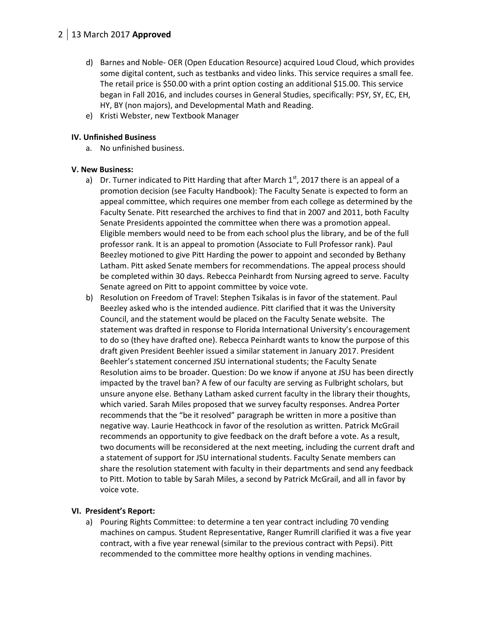- d) Barnes and Noble- OER (Open Education Resource) acquired Loud Cloud, which provides some digital content, such as testbanks and video links. This service requires a small fee. The retail price is \$50.00 with a print option costing an additional \$15.00. This service began in Fall 2016, and includes courses in General Studies, specifically: PSY, SY, EC, EH, HY, BY (non majors), and Developmental Math and Reading.
- e) Kristi Webster, new Textbook Manager

## **IV. Unfinished Business**

a. No unfinished business.

## **V. New Business:**

- a) Dr. Turner indicated to Pitt Harding that after March  $1<sup>st</sup>$ , 2017 there is an appeal of a promotion decision (see Faculty Handbook): The Faculty Senate is expected to form an appeal committee, which requires one member from each college as determined by the Faculty Senate. Pitt researched the archives to find that in 2007 and 2011, both Faculty Senate Presidents appointed the committee when there was a promotion appeal. Eligible members would need to be from each school plus the library, and be of the full professor rank. It is an appeal to promotion (Associate to Full Professor rank). Paul Beezley motioned to give Pitt Harding the power to appoint and seconded by Bethany Latham. Pitt asked Senate members for recommendations. The appeal process should be completed within 30 days. Rebecca Peinhardt from Nursing agreed to serve. Faculty Senate agreed on Pitt to appoint committee by voice vote.
- b) Resolution on Freedom of Travel: Stephen Tsikalas is in favor of the statement. Paul Beezley asked who is the intended audience. Pitt clarified that it was the University Council, and the statement would be placed on the Faculty Senate website. The statement was drafted in response to Florida International University's encouragement to do so (they have drafted one). Rebecca Peinhardt wants to know the purpose of this draft given President Beehler issued a similar statement in January 2017. President Beehler's statement concerned JSU international students; the Faculty Senate Resolution aims to be broader. Question: Do we know if anyone at JSU has been directly impacted by the travel ban? A few of our faculty are serving as Fulbright scholars, but unsure anyone else. Bethany Latham asked current faculty in the library their thoughts, which varied. Sarah Miles proposed that we survey faculty responses. Andrea Porter recommends that the "be it resolved" paragraph be written in more a positive than negative way. Laurie Heathcock in favor of the resolution as written. Patrick McGrail recommends an opportunity to give feedback on the draft before a vote. As a result, two documents will be reconsidered at the next meeting, including the current draft and a statement of support for JSU international students. Faculty Senate members can share the resolution statement with faculty in their departments and send any feedback to Pitt. Motion to table by Sarah Miles, a second by Patrick McGrail, and all in favor by voice vote.

# **VI. President's Report:**

a) Pouring Rights Committee: to determine a ten year contract including 70 vending machines on campus. Student Representative, Ranger Rumrill clarified it was a five year contract, with a five year renewal (similar to the previous contract with Pepsi). Pitt recommended to the committee more healthy options in vending machines.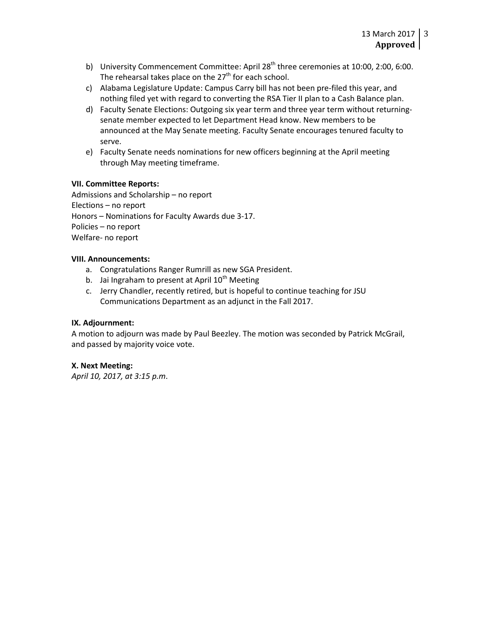- b) University Commencement Committee: April  $28<sup>th</sup>$  three ceremonies at 10:00, 2:00, 6:00. The rehearsal takes place on the  $27<sup>th</sup>$  for each school.
- c) Alabama Legislature Update: Campus Carry bill has not been pre-filed this year, and nothing filed yet with regard to converting the RSA Tier II plan to a Cash Balance plan.
- d) Faculty Senate Elections: Outgoing six year term and three year term without returningsenate member expected to let Department Head know. New members to be announced at the May Senate meeting. Faculty Senate encourages tenured faculty to serve.
- e) Faculty Senate needs nominations for new officers beginning at the April meeting through May meeting timeframe.

#### **VII. Committee Reports:**

Admissions and Scholarship – no report Elections – no report Honors – Nominations for Faculty Awards due 3-17. Policies – no report Welfare- no report

#### **VIII. Announcements:**

- a. Congratulations Ranger Rumrill as new SGA President.
- b. Jai Ingraham to present at April  $10^{th}$  Meeting
- c. Jerry Chandler, recently retired, but is hopeful to continue teaching for JSU Communications Department as an adjunct in the Fall 2017.

#### **IX. Adjournment:**

A motion to adjourn was made by Paul Beezley. The motion was seconded by Patrick McGrail, and passed by majority voice vote.

#### **X. Next Meeting:**

*April 10, 2017, at 3:15 p.m*.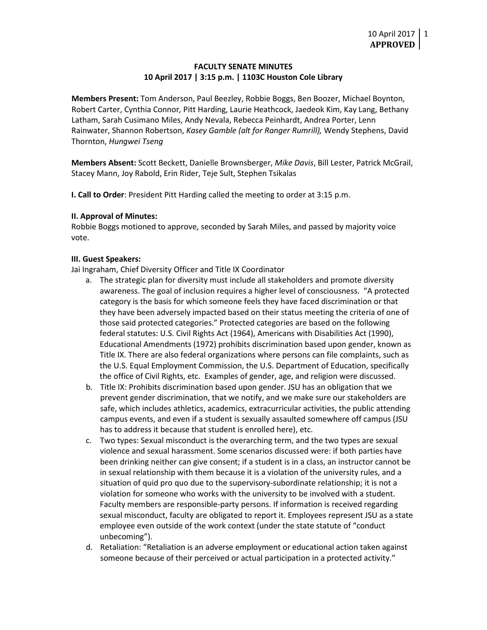## **FACULTY SENATE MINUTES 10 April 2017 | 3:15 p.m. | 1103C Houston Cole Library**

**Members Present:** Tom Anderson, Paul Beezley, Robbie Boggs, Ben Boozer, Michael Boynton, Robert Carter, Cynthia Connor*,* Pitt Harding, Laurie Heathcock, Jaedeok Kim, Kay Lang, Bethany Latham, Sarah Cusimano Miles, Andy Nevala, Rebecca Peinhardt, Andrea Porter, Lenn Rainwater, Shannon Robertson, *Kasey Gamble (alt for Ranger Rumrill),* Wendy Stephens, David Thornton, *Hungwei Tseng*

**Members Absent:** Scott Beckett, Danielle Brownsberger, *Mike Davis*, Bill Lester, Patrick McGrail, Stacey Mann, Joy Rabold, Erin Rider, Teje Sult, Stephen Tsikalas

**I. Call to Order**: President Pitt Harding called the meeting to order at 3:15 p.m.

#### **II. Approval of Minutes:**

Robbie Boggs motioned to approve, seconded by Sarah Miles, and passed by majority voice vote.

#### **III. Guest Speakers:**

Jai Ingraham, Chief Diversity Officer and Title IX Coordinator

- a. The strategic plan for diversity must include all stakeholders and promote diversity awareness. The goal of inclusion requires a higher level of consciousness. "A protected category is the basis for which someone feels they have faced discrimination or that they have been adversely impacted based on their status meeting the criteria of one of those said protected categories." Protected categories are based on the following federal statutes: U.S. Civil Rights Act (1964), Americans with Disabilities Act (1990), Educational Amendments (1972) prohibits discrimination based upon gender, known as Title IX. There are also federal organizations where persons can file complaints, such as the U.S. Equal Employment Commission, the U.S. Department of Education, specifically the office of Civil Rights, etc. Examples of gender, age, and religion were discussed.
- b. Title IX: Prohibits discrimination based upon gender. JSU has an obligation that we prevent gender discrimination, that we notify, and we make sure our stakeholders are safe, which includes athletics, academics, extracurricular activities, the public attending campus events, and even if a student is sexually assaulted somewhere off campus (JSU has to address it because that student is enrolled here), etc.
- c. Two types: Sexual misconduct is the overarching term, and the two types are sexual violence and sexual harassment. Some scenarios discussed were: if both parties have been drinking neither can give consent; if a student is in a class, an instructor cannot be in sexual relationship with them because it is a violation of the university rules, and a situation of quid pro quo due to the supervisory-subordinate relationship; it is not a violation for someone who works with the university to be involved with a student. Faculty members are responsible-party persons. If information is received regarding sexual misconduct, faculty are obligated to report it. Employees represent JSU as a state employee even outside of the work context (under the state statute of "conduct unbecoming").
- d. Retaliation: "Retaliation is an adverse employment or educational action taken against someone because of their perceived or actual participation in a protected activity."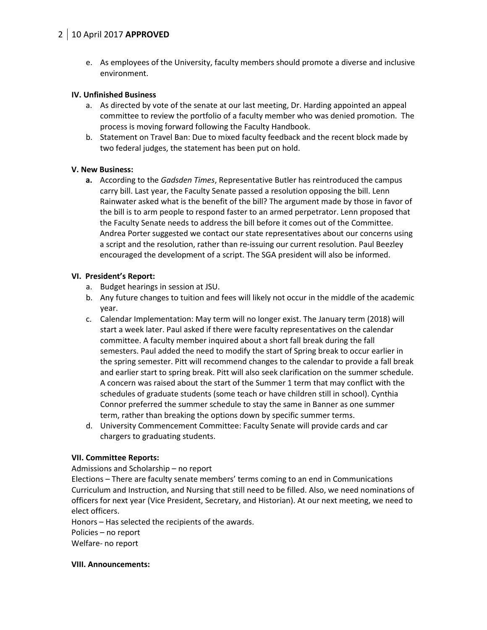# 2 10 April 2017 **APPROVED**

e. As employees of the University, faculty members should promote a diverse and inclusive environment.

#### **IV. Unfinished Business**

- a. As directed by vote of the senate at our last meeting, Dr. Harding appointed an appeal committee to review the portfolio of a faculty member who was denied promotion. The process is moving forward following the Faculty Handbook.
- b. Statement on Travel Ban: Due to mixed faculty feedback and the recent block made by two federal judges, the statement has been put on hold.

## **V. New Business:**

**a.** According to the *Gadsden Times*, Representative Butler has reintroduced the campus carry bill. Last year, the Faculty Senate passed a resolution opposing the bill. Lenn Rainwater asked what is the benefit of the bill? The argument made by those in favor of the bill is to arm people to respond faster to an armed perpetrator. Lenn proposed that the Faculty Senate needs to address the bill before it comes out of the Committee. Andrea Porter suggested we contact our state representatives about our concerns using a script and the resolution, rather than re-issuing our current resolution. Paul Beezley encouraged the development of a script. The SGA president will also be informed.

## **VI. President's Report:**

- a. Budget hearings in session at JSU.
- b. Any future changes to tuition and fees will likely not occur in the middle of the academic year.
- c. Calendar Implementation: May term will no longer exist. The January term (2018) will start a week later. Paul asked if there were faculty representatives on the calendar committee. A faculty member inquired about a short fall break during the fall semesters. Paul added the need to modify the start of Spring break to occur earlier in the spring semester. Pitt will recommend changes to the calendar to provide a fall break and earlier start to spring break. Pitt will also seek clarification on the summer schedule. A concern was raised about the start of the Summer 1 term that may conflict with the schedules of graduate students (some teach or have children still in school). Cynthia Connor preferred the summer schedule to stay the same in Banner as one summer term, rather than breaking the options down by specific summer terms.
- d. University Commencement Committee: Faculty Senate will provide cards and car chargers to graduating students.

# **VII. Committee Reports:**

Admissions and Scholarship – no report

Elections – There are faculty senate members' terms coming to an end in Communications Curriculum and Instruction, and Nursing that still need to be filled. Also, we need nominations of officers for next year (Vice President, Secretary, and Historian). At our next meeting, we need to elect officers.

Honors – Has selected the recipients of the awards. Policies – no report Welfare- no report

#### **VIII. Announcements:**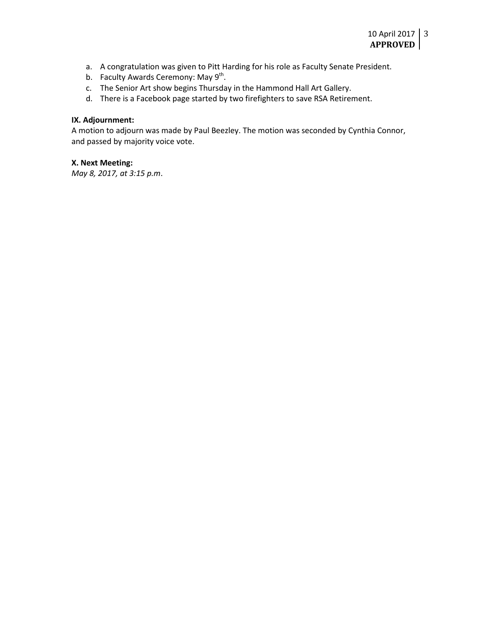- a. A congratulation was given to Pitt Harding for his role as Faculty Senate President.
- b. Faculty Awards Ceremony: May  $9^{th}$ .
- c. The Senior Art show begins Thursday in the Hammond Hall Art Gallery.
- d. There is a Facebook page started by two firefighters to save RSA Retirement.

#### **IX. Adjournment:**

A motion to adjourn was made by Paul Beezley. The motion was seconded by Cynthia Connor, and passed by majority voice vote.

## **X. Next Meeting:**

*May 8, 2017, at 3:15 p.m*.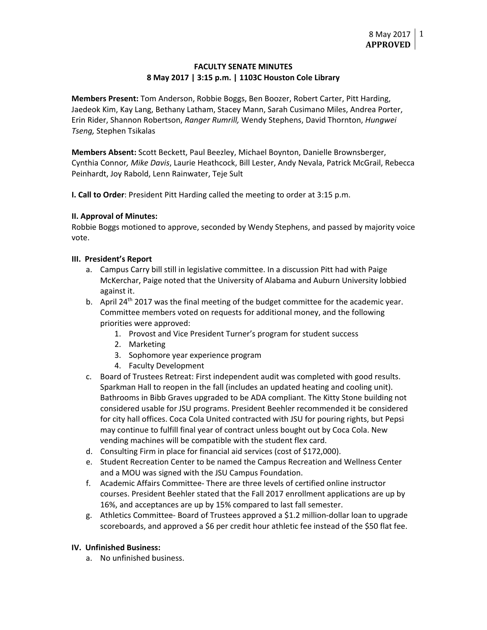## **FACULTY SENATE MINUTES 8 May 2017 | 3:15 p.m. | 1103C Houston Cole Library**

**Members Present:** Tom Anderson, Robbie Boggs, Ben Boozer, Robert Carter, Pitt Harding, Jaedeok Kim, Kay Lang, Bethany Latham, Stacey Mann, Sarah Cusimano Miles, Andrea Porter, Erin Rider, Shannon Robertson, *Ranger Rumrill,* Wendy Stephens, David Thornton, *Hungwei Tseng,* Stephen Tsikalas

**Members Absent:** Scott Beckett, Paul Beezley, Michael Boynton, Danielle Brownsberger, Cynthia Connor*, Mike Davis*, Laurie Heathcock, Bill Lester, Andy Nevala, Patrick McGrail, Rebecca Peinhardt, Joy Rabold, Lenn Rainwater, Teje Sult

**I. Call to Order**: President Pitt Harding called the meeting to order at 3:15 p.m.

## **II. Approval of Minutes:**

Robbie Boggs motioned to approve, seconded by Wendy Stephens, and passed by majority voice vote.

## **III. President's Report**

- a. Campus Carry bill still in legislative committee. In a discussion Pitt had with Paige McKerchar, Paige noted that the University of Alabama and Auburn University lobbied against it.
- b. April 24<sup>th</sup> 2017 was the final meeting of the budget committee for the academic year. Committee members voted on requests for additional money, and the following priorities were approved:
	- 1. Provost and Vice President Turner's program for student success
	- 2. Marketing
	- 3. Sophomore year experience program
	- 4. Faculty Development
- c. Board of Trustees Retreat: First independent audit was completed with good results. Sparkman Hall to reopen in the fall (includes an updated heating and cooling unit). Bathrooms in Bibb Graves upgraded to be ADA compliant. The Kitty Stone building not considered usable for JSU programs. President Beehler recommended it be considered for city hall offices. Coca Cola United contracted with JSU for pouring rights, but Pepsi may continue to fulfill final year of contract unless bought out by Coca Cola. New vending machines will be compatible with the student flex card.
- d. Consulting Firm in place for financial aid services (cost of \$172,000).
- e. Student Recreation Center to be named the Campus Recreation and Wellness Center and a MOU was signed with the JSU Campus Foundation.
- f. Academic Affairs Committee- There are three levels of certified online instructor courses. President Beehler stated that the Fall 2017 enrollment applications are up by 16%, and acceptances are up by 15% compared to last fall semester.
- g. Athletics Committee- Board of Trustees approved a \$1.2 million-dollar loan to upgrade scoreboards, and approved a \$6 per credit hour athletic fee instead of the \$50 flat fee.

#### **IV. Unfinished Business:**

a. No unfinished business.